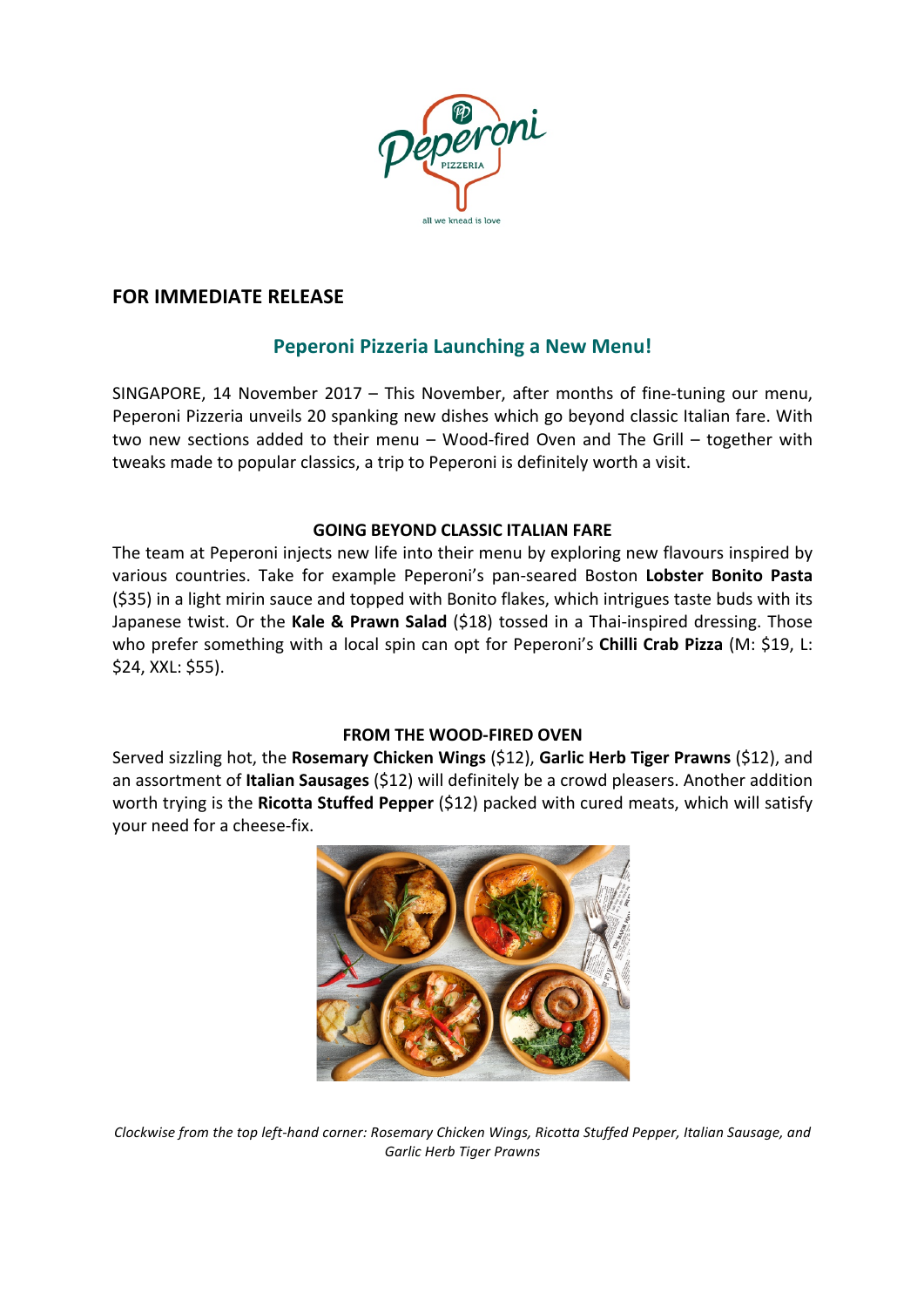

## **FOR IMMEDIATE RELEASE**

# **Peperoni Pizzeria Launching a New Menu!**

SINGAPORE, 14 November  $2017 -$  This November, after months of fine-tuning our menu, Peperoni Pizzeria unveils 20 spanking new dishes which go beyond classic Italian fare. With two new sections added to their menu - Wood-fired Oven and The Grill - together with tweaks made to popular classics, a trip to Peperoni is definitely worth a visit.

## **GOING BEYOND CLASSIC ITALIAN FARE**

The team at Peperoni injects new life into their menu by exploring new flavours inspired by various countries. Take for example Peperoni's pan-seared Boston Lobster Bonito Pasta (\$35) in a light mirin sauce and topped with Bonito flakes, which intrigues taste buds with its Japanese twist. Or the Kale & Prawn Salad (\$18) tossed in a Thai-inspired dressing. Those who prefer something with a local spin can opt for Peperoni's **Chilli Crab Pizza** (M: \$19, L: \$24, XXL: \$55).

## **FROM THE WOOD-FIRED OVEN**

Served sizzling hot, the Rosemary Chicken Wings (\$12), Garlic Herb Tiger Prawns (\$12), and an assortment of **Italian Sausages** (\$12) will definitely be a crowd pleasers. Another addition worth trying is the Ricotta Stuffed Pepper (\$12) packed with cured meats, which will satisfy your need for a cheese-fix.



*Clockwise* from the top left-hand corner: Rosemary Chicken Wings, Ricotta Stuffed Pepper, Italian Sausage, and *Garlic Herb Tiger Prawns*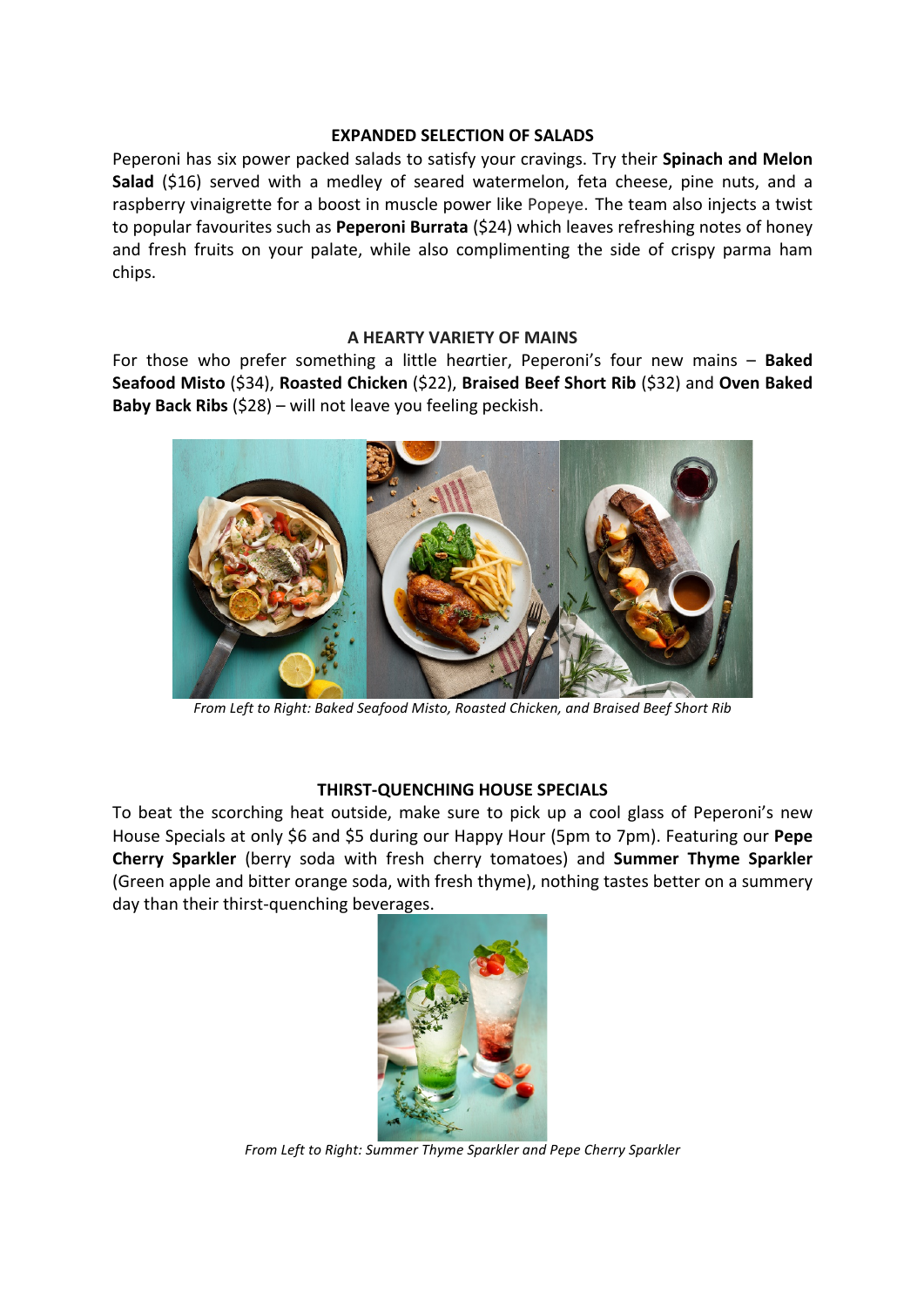#### **EXPANDED SELECTION OF SALADS**

Peperoni has six power packed salads to satisfy your cravings. Try their **Spinach and Melon Salad** (\$16) served with a medley of seared watermelon, feta cheese, pine nuts, and a raspberry vinaigrette for a boost in muscle power like Popeye. The team also injects a twist to popular favourites such as **Peperoni Burrata** (\$24) which leaves refreshing notes of honey and fresh fruits on your palate, while also complimenting the side of crispy parma ham chips.

#### **A HEARTY VARIETY OF MAINS**

For those who prefer something a little heartier, Peperoni's four new mains - **Baked Seafood Misto** (\$34), **Roasted Chicken** (\$22), **Braised Beef Short Rib** (\$32) and **Oven Baked Baby Back Ribs** (\$28) – will not leave you feeling peckish.



From Left to Right: Baked Seafood Misto, Roasted Chicken, and Braised Beef Short Rib

## **THIRST-QUENCHING HOUSE SPECIALS**

To beat the scorching heat outside, make sure to pick up a cool glass of Peperoni's new House Specials at only \$6 and \$5 during our Happy Hour (5pm to 7pm). Featuring our **Pepe Cherry Sparkler** (berry soda with fresh cherry tomatoes) and **Summer Thyme Sparkler** (Green apple and bitter orange soda, with fresh thyme), nothing tastes better on a summery day than their thirst-quenching beverages.



*From Left to Right: Summer Thyme Sparkler and Pepe Cherry Sparkler*